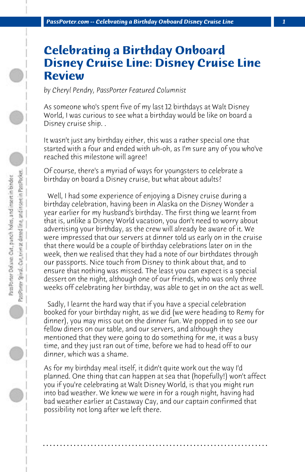## **Celebrating a Birthday Onboard Disney Cruise Line: Disney Cruise Line Review**

*by Cheryl Pendry, PassPorter Featured Columnist*

As someone who's spent five of my last 12 birthdays at Walt Disney World, I was curious to see what a birthday would be like on board a Disney cruise ship. .

It wasn't just any birthday either, this was a rather special one that started with a four and ended with uh-oh, as I'm sure any of you who've reached this milestone will agree!

Of course, there's a myriad of ways for youngsters to celebrate a birthday on board a Disney cruise, but what about adults?

 Well, I had some experience of enjoying a Disney cruise during a birthday celebration, having been in Alaska on the Disney Wonder a year earlier for my husband's birthday. The first thing we learnt from that is, unlike a Disney World vacation, you don't need to worry about advertising your birthday, as the crew will already be aware of it. We were impressed that our servers at dinner told us early on in the cruise that there would be a couple of birthday celebrations later on in the week, then we realised that they had a note of our birthdates through our passports. Nice touch from Disney to think about that, and to ensure that nothing was missed. The least you can expect is a special dessert on the night, although one of our friends, who was only three weeks off celebrating her birthday, was able to get in on the act as well.

 Sadly, I learnt the hard way that if you have a special celebration booked for your birthday night, as we did (we were heading to Remy for dinner), you may miss out on the dinner fun. We popped in to see our fellow diners on our table, and our servers, and although they mentioned that they were going to do something for me, it was a busy time, and they just ran out of time, before we had to head off to our dinner, which was a shame.

As for my birthday meal itself, it didn't quite work out the way I'd planned. One thing that can happen at sea that (hopefully!) won't affect you if you're celebrating at Walt Disney World, is that you might run into bad weather. We knew we were in for a rough night, having had bad weather earlier at Castaway Cay, and our captain confirmed that possibility not long after we left there.

**. . . . . . . . . . . . . . . . . . . . . . . . . . . . . . . . . . . . . . . . . . . . . . . . . . . . . . . . . . . . . . . . . .**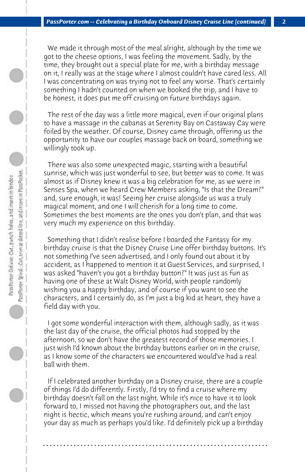We made it through most of the meal alright, although by the time we got to the cheese options, I was feeling the movement. Sadly, by the time, they brought out a special plate for me, with a birthday message on it, I really was at the stage where I almost couldn't have cared less. All I was concentrating on was trying not to feel any worse. That's certainly something I hadn't counted on when we booked the trip, and I have to be honest, it does put me off cruising on future birthdays again.

 The rest of the day was a little more magical, even if our original plans to have a massage in the cabanas at Serenity Bay on Castaway Cay were foiled by the weather. Of course, Disney came through, offering us the opportunity to have our couples massage back on board, something we willingly took up.

 There was also some unexpected magic, starting with a beautiful sunrise, which was just wonderful to see, but better was to come. It was almost as if Disney knew it was a big celebration for me, as we were in Senses Spa, when we heard Crew Members asking, "Is that the Dream?" and, sure enough, it was! Seeing her cruise alongside us was a truly magical moment, and one I will cherish for a long time to come. Sometimes the best moments are the ones you don't plan, and that was very much my experience on this birthday.

 Something that I didn't realise before I boarded the Fantasy for my birthday cruise is that the Disney Cruise Line offer birthday buttons. It's not something I've seen advertised, and I only found out about it by accident, as I happened to mention it at Guest Services, and surprised, I was asked "haven't you got a birthday button?" It was just as fun as having one of these at Walt Disney World, with people randomly wishing you a happy birthday, and of course if you want to see the characters, and I certainly do, as I'm just a big kid at heart, they have a field day with you.

 I got some wonderful interaction with them, although sadly, as it was the last day of the cruise, the official photos had stopped by the afternoon, so we don't have the greatest record of those memories. I just wish I'd known about the birthday buttons earlier on in the cruise, as I know some of the characters we encountered would've had a real ball with them.

 If I celebrated another birthday on a Disney cruise, there are a couple of things I'd do differently. Firstly, I'd try to find a cruise where my birthday doesn't fall on the last night. While it's nice to have it to look forward to, I missed not having the photographers out, and the last night is hectic, which means you're rushing around, and can't enjoy your day as much as perhaps you'd like. I'd definitely pick up a birthday

**. . . . . . . . . . . . . . . . . . . . . . . . . . . . . . . . . . . . . . . . . . . . . . . . . . . . . . . . . . . . . . . . . .**